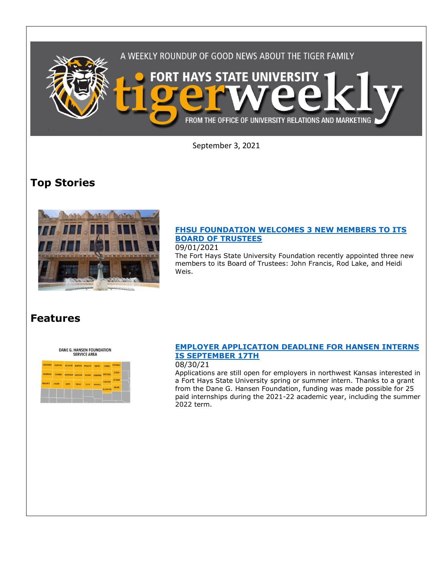

September 3, 2021

# **Top Stories**



## **[FHSU FOUNDATION WELCOMES 3 NEW MEMBERS TO ITS](https://fhsu.edu/news/2021/09/fhsu-foundation-welcomes-3-new-members-to-its-board-of-trustees)  [BOARD OF TRUSTEES](https://fhsu.edu/news/2021/09/fhsu-foundation-welcomes-3-new-members-to-its-board-of-trustees)**

#### 09/01/2021

The Fort Hays State University Foundation recently appointed three new members to its Board of Trustees: John Francis, Rod Lake, and Heidi Weis.

## **Features**

DANE G. HANSEN FOUNDATION<br>SERVICE AREA

| <b>CHEYENNE</b> |               | RAWLINS DECATUR NORTON PHILLIPS SMITH  |       |              |         | <b>JEWELL</b>    | REPUBLIC      |  |
|-----------------|---------------|----------------------------------------|-------|--------------|---------|------------------|---------------|--|
| SHERMAN         | <b>THOMAS</b> | SHERIDAN GRAHAM ROOKS OSBORNE MITCHELL |       |              |         |                  | CLOUD         |  |
| <b>WALLACE</b>  | LOGAN         | GOVE                                   | TREGO | <b>ELLIS</b> |         | LINCOLN          | <b>OTTAWA</b> |  |
|                 |               |                                        |       |              | RUSSELL | <b>ELLSWORTH</b> | <b>SALINE</b> |  |

## **[EMPLOYER APPLICATION DEADLINE FOR HANSEN INTERNS](https://fhsu.edu/news/2021/08/employer-application-deadline-for-hansen-interns-is-september-17th)  [IS SEPTEMBER 17TH](https://fhsu.edu/news/2021/08/employer-application-deadline-for-hansen-interns-is-september-17th)**

## 08/30/21

Applications are still open for employers in northwest Kansas interested in a Fort Hays State University spring or summer intern. Thanks to a grant from the Dane G. Hansen Foundation, funding was made possible for 25 paid internships during the 2021-22 academic year, including the summer 2022 term.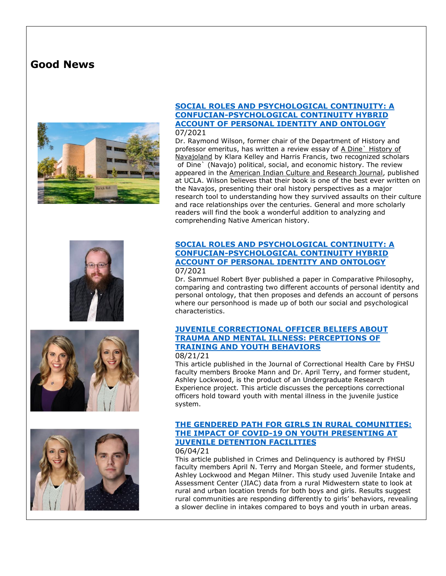## **Good News**









#### **[SOCIAL ROLES AND PSYCHOLOGICAL CONTINUITY: A](https://scholarworks.sjsu.edu/comparativephilosophy/vol12/iss2/4/)  [CONFUCIAN-PSYCHOLOGICAL CONTINUITY HYBRID](https://scholarworks.sjsu.edu/comparativephilosophy/vol12/iss2/4/)  [ACCOUNT OF PERSONAL IDENTITY AND ONTOLOGY](https://scholarworks.sjsu.edu/comparativephilosophy/vol12/iss2/4/)** 07/2021

Dr. Raymond Wilson, former chair of the Department of History and professor emeritus, has written a review essay of A Dine` History of Navajoland by Klara Kelley and Harris Francis, two recognized scholars of Dine` (Navajo) political, social, and economic history. The review appeared in the American Indian Culture and Research Journal, published at UCLA. Wilson believes that their book is one of the best ever written on the Navajos, presenting their oral history perspectives as a major research tool to understanding how they survived assaults on their culture and race relationships over the centuries. General and more scholarly readers will find the book a wonderful addition to analyzing and comprehending Native American history.

#### **[SOCIAL ROLES AND PSYCHOLOGICAL CONTINUITY: A](https://scholarworks.sjsu.edu/comparativephilosophy/vol12/iss2/4/)  [CONFUCIAN-PSYCHOLOGICAL CONTINUITY HYBRID](https://scholarworks.sjsu.edu/comparativephilosophy/vol12/iss2/4/)  [ACCOUNT OF PERSONAL IDENTITY AND ONTOLOGY](https://scholarworks.sjsu.edu/comparativephilosophy/vol12/iss2/4/)** 07/2021

Dr. Sammuel Robert Byer published a paper in Comparative Philosophy, comparing and contrasting two different accounts of personal identity and personal ontology, that then proposes and defends an account of persons where our personhood is made up of both our social and psychological characteristics.

## **[JUVENILE CORRECTIONAL OFFICER BELIEFS ABOUT](https://pubmed.ncbi.nlm.nih.gov/34407378/)  [TRAUMA AND MENTAL ILLNESS: PERCEPTIONS OF](https://pubmed.ncbi.nlm.nih.gov/34407378/)  [TRAINING AND YOUTH BEHAVIORS](https://pubmed.ncbi.nlm.nih.gov/34407378/)**

#### 08/21/21

This article published in the Journal of Correctional Health Care by FHSU faculty members Brooke Mann and Dr. April Terry, and former student, Ashley Lockwood, is the product of an Undergraduate Research Experience project. This article discusses the perceptions correctional officers hold toward youth with mental illness in the juvenile justice system.

## **[THE GENDERED PATH FOR GIRLS IN RURAL COMUNITIES:](https://journals.sagepub.com/doi/full/10.1177/00111287211022629)  [THE IMPACT OF COVID-19 ON YOUTH PRESENTING AT](https://journals.sagepub.com/doi/full/10.1177/00111287211022629)  [JUVENILE DETENTION FACILITIES](https://journals.sagepub.com/doi/full/10.1177/00111287211022629)**

#### 06/04/21

This article published in Crimes and Delinquency is authored by FHSU faculty members April N. Terry and Morgan Steele, and former students, Ashley Lockwood and Megan Milner. This study used Juvenile Intake and Assessment Center (JIAC) data from a rural Midwestern state to look at rural and urban location trends for both boys and girls. Results suggest rural communities are responding differently to girls' behaviors, revealing a slower decline in intakes compared to boys and youth in urban areas.